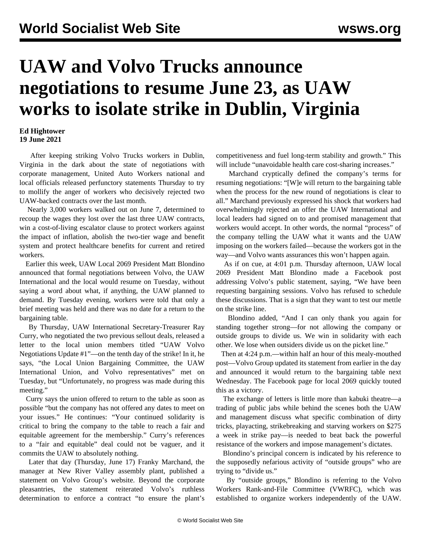## **UAW and Volvo Trucks announce negotiations to resume June 23, as UAW works to isolate strike in Dublin, Virginia**

## **Ed Hightower 19 June 2021**

 After keeping striking Volvo Trucks workers in Dublin, Virginia in the dark about the state of negotiations with corporate management, United Auto Workers national and local officials released perfunctory statements Thursday to try to mollify the anger of workers who decisively rejected two UAW-backed contracts over the last month.

 Nearly 3,000 workers walked out on June 7, determined to recoup the wages they lost over the last three UAW contracts, win a cost-of-living escalator clause to protect workers against the impact of inflation, abolish the two-tier wage and benefit system and protect healthcare benefits for current and retired workers.

 Earlier this week, UAW Local 2069 President Matt Blondino announced that formal negotiations between Volvo, the UAW International and the local would resume on Tuesday, without saying a word about what, if anything, the UAW planned to demand. By Tuesday evening, workers were told that only a brief meeting was held and there was no date for a return to the bargaining table.

 By Thursday, UAW International Secretary-Treasurer Ray Curry, who negotiated the two previous sellout deals, released a letter to the local union members titled "UAW Volvo Negotiations Update #1"—on the tenth day of the strike! In it, he says, "the Local Union Bargaining Committee, the UAW International Union, and Volvo representatives" met on Tuesday, but "Unfortunately, no progress was made during this meeting."

 Curry says the union offered to return to the table as soon as possible "but the company has not offered any dates to meet on your issues." He continues: "Your continued solidarity is critical to bring the company to the table to reach a fair and equitable agreement for the membership." Curry's references to a "fair and equitable" deal could not be vaguer, and it commits the UAW to absolutely nothing.

 Later that day (Thursday, June 17) Franky Marchand, the manager at New River Valley assembly plant, published a statement on Volvo Group's website. Beyond the corporate pleasantries, the statement reiterated Volvo's ruthless determination to enforce a contract "to ensure the plant's competitiveness and fuel long-term stability and growth." This will include "unavoidable health care cost-sharing increases."

 Marchand cryptically defined the company's terms for resuming negotiations: "[W]e will return to the bargaining table when the process for the new round of negotiations is clear to all." Marchand previously expressed his shock that workers had overwhelmingly rejected an offer the UAW International and local leaders had signed on to and promised management that workers would accept. In other words, the normal "process" of the company telling the UAW what it wants and the UAW imposing on the workers failed—because the workers got in the way—and Volvo wants assurances this won't happen again.

 As if on cue, at 4:01 p.m. Thursday afternoon, UAW local 2069 President Matt Blondino made a Facebook post addressing Volvo's public statement, saying, "We have been requesting bargaining sessions. Volvo has refused to schedule these discussions. That is a sign that they want to test our mettle on the strike line.

 Blondino added, "And I can only thank you again for standing together strong—for not allowing the company or outside groups to divide us. We win in solidarity with each other. We lose when outsiders divide us on the picket line."

 Then at 4:24 p.m.—within half an hour of this mealy-mouthed post—Volvo Group updated its statement from earlier in the day and announced it would return to the bargaining table next Wednesday. The Facebook page for local 2069 quickly touted this as a victory.

 The exchange of letters is little more than kabuki theatre—a trading of public jabs while behind the scenes both the UAW and management discuss what specific combination of dirty tricks, playacting, strikebreaking and starving workers on \$275 a week in strike pay—is needed to beat back the powerful resistance of the workers and impose management's dictates.

 Blondino's principal concern is indicated by his reference to the supposedly nefarious activity of "outside groups" who are trying to "divide us."

 By "outside groups," Blondino is referring to the Volvo Workers Rank-and-File Committee (VWRFC), which was established to organize workers independently of the UAW.